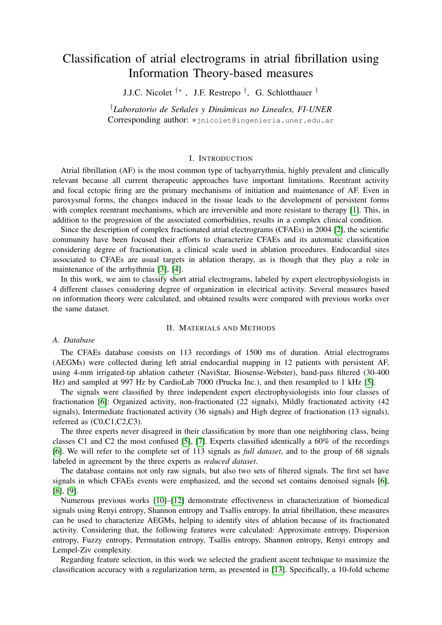# Classification of atrial electrograms in atrial fibrillation using Information Theory-based measures

J.J.C. Nicolet †∗ , J.F. Restrepo † , G. Schlotthauer †

<sup>†</sup>Laboratorio de Señales y Dinámicas no Lineales, FI-UNER Corresponding author: ∗jnicolet@ingenieria.uner.edu.ar

# I. INTRODUCTION

Atrial fibrillation (AF) is the most common type of tachyarrythmia, highly prevalent and clinically relevant because all current therapeutic approaches have important limitations. Reentrant activity and focal ectopic firing are the primary mechanisms of initiation and maintenance of AF. Even in paroxysmal forms, the changes induced in the tissue leads to the development of persistent forms with complex reentrant mechanisms, which are irreversible and more resistant to therapy [\[1\]](#page-2-0). This, in addition to the progression of the associated comorbidities, results in a complex clinical condition.

Since the description of complex fractionated atrial electrograms (CFAEs) in 2004 [\[2\]](#page-2-1), the scientific community have been focused their efforts to characterize CFAEs and its automatic classification considering degree of fractionation, a clinical scale used in ablation procedures. Endocardial sites associated to CFAEs are usual targets in ablation therapy, as is though that they play a role in maintenance of the arrhythmia [\[3\]](#page-2-2), [\[4\]](#page-2-3).

In this work, we aim to classify short atrial electrograms, labeled by expert electrophysiologists in 4 different classes considering degree of organization in electrical activity. Several measures based on information theory were calculated, and obtained results were compared with previous works over the same dataset.

#### II. MATERIALS AND METHODS

## *A. Database*

The CFAEs database consists on 113 recordings of 1500 ms of duration. Atrial electrograms (AEGMs) were collected during left atrial endocardial mapping in 12 patients with persistent AF, using 4-mm irrigated-tip ablation catheter (NaviStar, Biosense-Webster), band-pass filtered (30-400 Hz) and sampled at 997 Hz by CardioLab 7000 (Prucka Inc.), and then resampled to 1 kHz [\[5\]](#page-2-4).

The signals were classified by three independent expert electrophysiologists into four classes of fractionation [\[6\]](#page-2-5): Organized activity, non-fractionated (22 signals), Mildly fractionated activity (42 signals), Intermediate fractionated activity (36 signals) and High degree of fractionation (13 signals), referred as (C0,C1,C2,C3).

The three experts never disagreed in their classification by more than one neighboring class, being classes C1 and C2 the most confused [\[5\]](#page-2-4), [\[7\]](#page-2-6). Experts classified identically a 60% of the recordings [\[6\]](#page-2-5). We will refer to the complete set of 113 signals as *full dataset*, and to the group of 68 signals labeled in agreement by the three experts as *reduced dataset*.

The database contains not only raw signals, but also two sets of filtered signals. The first set have signals in which CFAEs events were emphasized, and the second set contains denoised signals [\[6\]](#page-2-5), [\[8\]](#page-2-7), [\[9\]](#page-2-8).

Numerous previous works [\[10\]](#page-2-9)–[\[12\]](#page-2-10) demonstrate effectiveness in characterization of biomedical signals using Renyi entropy, Shannon entropy and Tsallis entropy. In atrial fibrillation, these measures can be used to characterize AEGMs, helping to identify sites of ablation because of its fractionated activity. Considering that, the following features were calculated: Approximate entropy, Dispersion entropy, Fuzzy entropy, Permutation entropy, Tsallis entropy, Shannon entropy, Renyi entropy and Lempel-Ziv complexity.

Regarding feature selection, in this work we selected the gradient ascent technique to maximize the classification accuracy with a regularization term, as presented in [\[13\]](#page-2-11). Specifically, a 10-fold scheme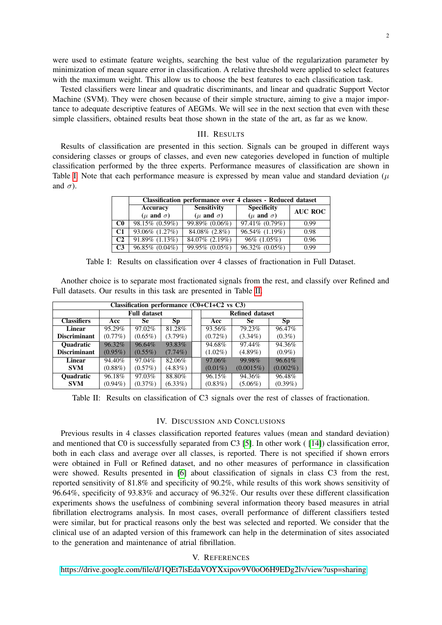were used to estimate feature weights, searching the best value of the regularization parameter by minimization of mean square error in classification. A relative threshold were applied to select features with the maximum weight. This allow us to choose the best features to each classification task.

Tested classifiers were linear and quadratic discriminants, and linear and quadratic Support Vector Machine (SVM). They were chosen because of their simple structure, aiming to give a major importance to adequate descriptive features of AEGMs. We will see in the next section that even with these simple classifiers, obtained results beat those shown in the state of the art, as far as we know.

# III. RESULTS

<span id="page-1-0"></span>Results of classification are presented in this section. Signals can be grouped in different ways considering classes or groups of classes, and even new categories developed in function of multiple classification performed by the three experts. Performance measures of classification are shown in Table [I.](#page-1-0) Note that each performance measure is expressed by mean value and standard deviation  $(\mu$ and  $\sigma$ ).

|                | <b>Classification performance over 4 classes - Reduced dataset</b> |                        |                        |                |  |  |  |  |
|----------------|--------------------------------------------------------------------|------------------------|------------------------|----------------|--|--|--|--|
|                | Accuracy                                                           | <b>Sensitivity</b>     | <b>Specificity</b>     | <b>AUC ROC</b> |  |  |  |  |
|                | $(\mu$ and $\sigma)$                                               | ( $\mu$ and $\sigma$ ) | ( $\mu$ and $\sigma$ ) |                |  |  |  |  |
| $_{\rm CO}$    | 98.15% (0.59%)                                                     | 99.89% (0.06%)         | 97.41% (0.79%)         | 0.99           |  |  |  |  |
| C <sub>1</sub> | 93.06% (1.27%)                                                     | 84.08% (2.8%)          | 96.54% (1.19%)         | 0.98           |  |  |  |  |
| C2             | $\overline{91.89\%}$ (1.13%)                                       | 84.07% (2.19%)         | $96\%$ (1.05%)         | 0.96           |  |  |  |  |
| C <sub>3</sub> | 96.85% (0.04%)                                                     | 99.95% (0.05%)         | 96.32% (0.05%)         | 0.99           |  |  |  |  |

Table I: Results on classification over 4 classes of fractionation in Full Dataset.

Another choice is to separate most fractionated signals from the rest, and classify over Refined and Full datasets. Our results in this task are presented in Table [II.](#page-1-1)

<span id="page-1-1"></span>

| Classification performance $(C0+C1+C2$ vs C3) |                     |            |            |  |                        |              |             |  |  |  |
|-----------------------------------------------|---------------------|------------|------------|--|------------------------|--------------|-------------|--|--|--|
|                                               | <b>Full dataset</b> |            |            |  | <b>Refined dataset</b> |              |             |  |  |  |
| <b>Classifiers</b>                            | Acc                 | <b>Se</b>  | <b>Sp</b>  |  | Acc                    | Se           | Sp          |  |  |  |
| Linear                                        | 95.29%              | 97.02%     | 81.28%     |  | 93.56%                 | 79.23%       | 96.47%      |  |  |  |
| <b>Discriminant</b>                           | $(0.77\%)$          | $(0.65\%)$ | $(3.79\%)$ |  | $(0.72\%)$             | $(3.34\%)$   | $(0.3\%)$   |  |  |  |
| <b>Ouadratic</b>                              | 96.32%              | 96.64%     | 93.83%     |  | 94.68%                 | 97.44%       | 94.36%      |  |  |  |
| <b>Discriminant</b>                           | $(0.95\%)$          | $(0.55\%)$ | $(7.74\%)$ |  | $(1.02\%)$             | $(4.89\%)$   | $(0.9\%)$   |  |  |  |
| Linear                                        | 94.40%              | 97.04%     | 82.06%     |  | 97.06%                 | 99.98%       | 96.61%      |  |  |  |
| <b>SVM</b>                                    | $(0.88\%)$          | $(0.57\%)$ | $(4.83\%)$ |  | $(0.01\%)$             | $(0.0015\%)$ | $(0.002\%)$ |  |  |  |
| <b>Ouadratic</b>                              | 96.18%              | 97.03%     | 88.80%     |  | 96.15%                 | 94.36%       | 96.48%      |  |  |  |
| <b>SVM</b>                                    | $(0.94\%)$          | $(0.37\%)$ | $(6.33\%)$ |  | $(0.83\%)$             | $(5.06\%)$   | $(0.39\%)$  |  |  |  |

Table II: Results on classification of C3 signals over the rest of classes of fractionation.

#### IV. DISCUSSION AND CONCLUSIONS

Previous results in 4 classes classification reported features values (mean and standard deviation) and mentioned that C0 is successfully separated from C3 [\[5\]](#page-2-4). In other work ( [\[14\]](#page-2-12)) classification error, both in each class and average over all classes, is reported. There is not specified if shown errors were obtained in Full or Refined dataset, and no other measures of performance in classification were showed. Results presented in [\[6\]](#page-2-5) about classification of signals in class C3 from the rest, reported sensitivity of 81.8% and specificity of 90.2%, while results of this work shows sensitivity of 96.64%, specificity of 93.83% and accuracy of 96.32%. Our results over these different classification experiments shows the usefulness of combining several information theory based measures in atrial fibrillation electrograms analysis. In most cases, overall performance of different classifiers tested were similar, but for practical reasons only the best was selected and reported. We consider that the clinical use of an adapted version of this framework can help in the determination of sites associated to the generation and maintenance of atrial fibrillation.

### V. REFERENCES

<https://drive.google.com/file/d/1QEt7lsEdaVOYXxipov9V0oO6H9EDg2lv/view?usp=sharing>